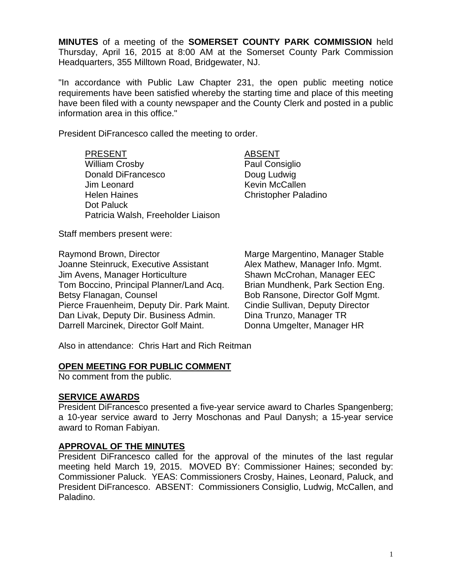**MINUTES** of a meeting of the **SOMERSET COUNTY PARK COMMISSION** held Thursday, April 16, 2015 at 8:00 AM at the Somerset County Park Commission Headquarters, 355 Milltown Road, Bridgewater, NJ.

"In accordance with Public Law Chapter 231, the open public meeting notice requirements have been satisfied whereby the starting time and place of this meeting have been filed with a county newspaper and the County Clerk and posted in a public information area in this office."

President DiFrancesco called the meeting to order.

PRESENT ABSENT William Crosby **Paul Consiglio** Donald DiFrancesco Doug Ludwig Jim Leonard **Kevin McCallen** Helen Haines Christopher Paladino Dot Paluck Patricia Walsh, Freeholder Liaison

Staff members present were:

Raymond Brown, Director **Marge Margentino, Manager Stable** Joanne Steinruck, Executive Assistant Alex Mathew, Manager Info. Mgmt. Jim Avens, Manager Horticulture Shawn McCrohan, Manager EEC Tom Boccino, Principal Planner/Land Acq. Brian Mundhenk, Park Section Eng. Betsy Flanagan, Counsel **Bob Ransone, Director Golf Mgmt.** Pierce Frauenheim, Deputy Dir. Park Maint. Cindie Sullivan, Deputy Director Dan Livak, Deputy Dir. Business Admin. Dina Trunzo, Manager TR Darrell Marcinek, Director Golf Maint. Donna Umgelter, Manager HR

Also in attendance: Chris Hart and Rich Reitman

## **OPEN MEETING FOR PUBLIC COMMENT**

No comment from the public.

## **SERVICE AWARDS**

President DiFrancesco presented a five-year service award to Charles Spangenberg; a 10-year service award to Jerry Moschonas and Paul Danysh; a 15-year service award to Roman Fabiyan.

## **APPROVAL OF THE MINUTES**

President DiFrancesco called for the approval of the minutes of the last regular meeting held March 19, 2015. MOVED BY: Commissioner Haines; seconded by: Commissioner Paluck. YEAS: Commissioners Crosby, Haines, Leonard, Paluck, and President DiFrancesco. ABSENT: Commissioners Consiglio, Ludwig, McCallen, and Paladino.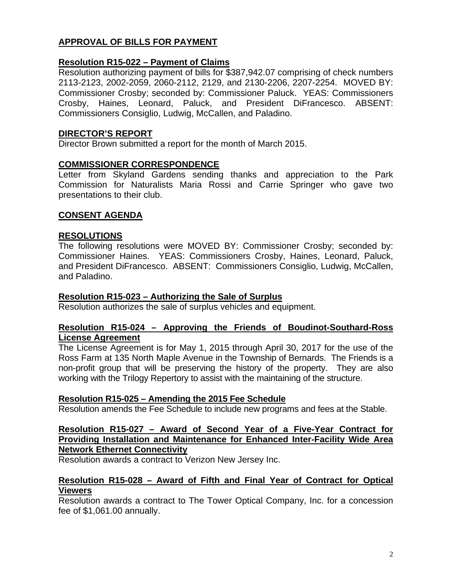# **APPROVAL OF BILLS FOR PAYMENT**

## **Resolution R15-022 – Payment of Claims**

Resolution authorizing payment of bills for \$387,942.07 comprising of check numbers 2113-2123, 2002-2059, 2060-2112, 2129, and 2130-2206, 2207-2254. MOVED BY: Commissioner Crosby; seconded by: Commissioner Paluck. YEAS: Commissioners Crosby, Haines, Leonard, Paluck, and President DiFrancesco. ABSENT: Commissioners Consiglio, Ludwig, McCallen, and Paladino.

## **DIRECTOR'S REPORT**

Director Brown submitted a report for the month of March 2015.

#### **COMMISSIONER CORRESPONDENCE**

Letter from Skyland Gardens sending thanks and appreciation to the Park Commission for Naturalists Maria Rossi and Carrie Springer who gave two presentations to their club.

## **CONSENT AGENDA**

#### **RESOLUTIONS**

The following resolutions were MOVED BY: Commissioner Crosby; seconded by: Commissioner Haines. YEAS: Commissioners Crosby, Haines, Leonard, Paluck, and President DiFrancesco. ABSENT: Commissioners Consiglio, Ludwig, McCallen, and Paladino.

#### **Resolution R15-023 – Authorizing the Sale of Surplus**

Resolution authorizes the sale of surplus vehicles and equipment.

#### **Resolution R15-024 – Approving the Friends of Boudinot-Southard-Ross License Agreement**

The License Agreement is for May 1, 2015 through April 30, 2017 for the use of the Ross Farm at 135 North Maple Avenue in the Township of Bernards. The Friends is a non-profit group that will be preserving the history of the property. They are also working with the Trilogy Repertory to assist with the maintaining of the structure.

#### **Resolution R15-025 – Amending the 2015 Fee Schedule**

Resolution amends the Fee Schedule to include new programs and fees at the Stable.

## **Resolution R15-027 – Award of Second Year of a Five-Year Contract for Providing Installation and Maintenance for Enhanced Inter-Facility Wide Area Network Ethernet Connectivity**

Resolution awards a contract to Verizon New Jersey Inc.

#### **Resolution R15-028 – Award of Fifth and Final Year of Contract for Optical Viewers**

Resolution awards a contract to The Tower Optical Company, Inc. for a concession fee of \$1,061.00 annually.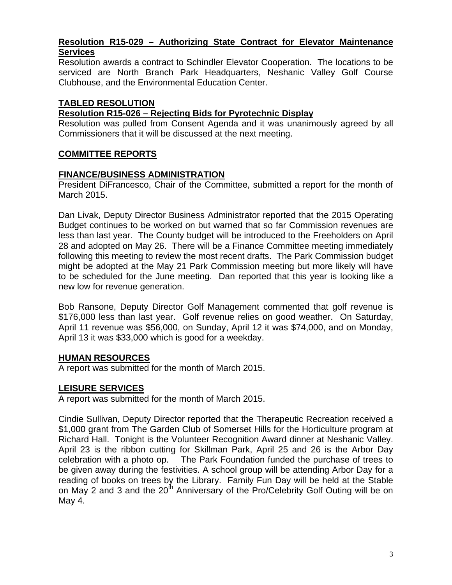## **Resolution R15-029 – Authorizing State Contract for Elevator Maintenance Services**

Resolution awards a contract to Schindler Elevator Cooperation. The locations to be serviced are North Branch Park Headquarters, Neshanic Valley Golf Course Clubhouse, and the Environmental Education Center.

## **TABLED RESOLUTION**

## **Resolution R15-026 – Rejecting Bids for Pyrotechnic Display**

Resolution was pulled from Consent Agenda and it was unanimously agreed by all Commissioners that it will be discussed at the next meeting.

## **COMMITTEE REPORTS**

## **FINANCE/BUSINESS ADMINISTRATION**

President DiFrancesco, Chair of the Committee, submitted a report for the month of March 2015.

Dan Livak, Deputy Director Business Administrator reported that the 2015 Operating Budget continues to be worked on but warned that so far Commission revenues are less than last year. The County budget will be introduced to the Freeholders on April 28 and adopted on May 26. There will be a Finance Committee meeting immediately following this meeting to review the most recent drafts. The Park Commission budget might be adopted at the May 21 Park Commission meeting but more likely will have to be scheduled for the June meeting. Dan reported that this year is looking like a new low for revenue generation.

Bob Ransone, Deputy Director Golf Management commented that golf revenue is \$176,000 less than last year. Golf revenue relies on good weather. On Saturday, April 11 revenue was \$56,000, on Sunday, April 12 it was \$74,000, and on Monday, April 13 it was \$33,000 which is good for a weekday.

## **HUMAN RESOURCES**

A report was submitted for the month of March 2015.

## **LEISURE SERVICES**

A report was submitted for the month of March 2015.

Cindie Sullivan, Deputy Director reported that the Therapeutic Recreation received a \$1,000 grant from The Garden Club of Somerset Hills for the Horticulture program at Richard Hall. Tonight is the Volunteer Recognition Award dinner at Neshanic Valley. April 23 is the ribbon cutting for Skillman Park, April 25 and 26 is the Arbor Day celebration with a photo op. The Park Foundation funded the purchase of trees to be given away during the festivities. A school group will be attending Arbor Day for a reading of books on trees by the Library. Family Fun Day will be held at the Stable on May 2 and 3 and the 20<sup>th</sup> Anniversary of the Pro/Celebrity Golf Outing will be on May 4.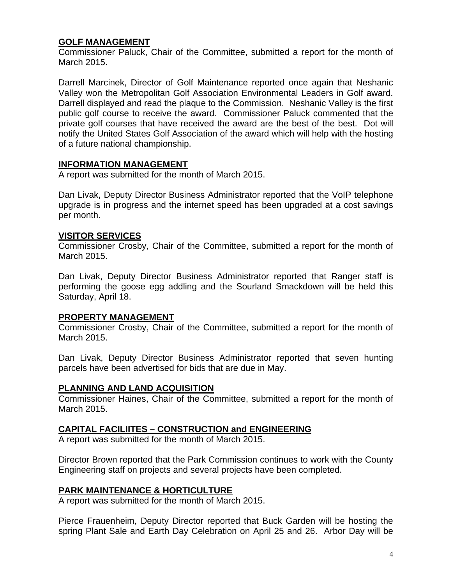## **GOLF MANAGEMENT**

Commissioner Paluck, Chair of the Committee, submitted a report for the month of March 2015.

Darrell Marcinek, Director of Golf Maintenance reported once again that Neshanic Valley won the Metropolitan Golf Association Environmental Leaders in Golf award. Darrell displayed and read the plaque to the Commission. Neshanic Valley is the first public golf course to receive the award. Commissioner Paluck commented that the private golf courses that have received the award are the best of the best. Dot will notify the United States Golf Association of the award which will help with the hosting of a future national championship.

## **INFORMATION MANAGEMENT**

A report was submitted for the month of March 2015.

Dan Livak, Deputy Director Business Administrator reported that the VoIP telephone upgrade is in progress and the internet speed has been upgraded at a cost savings per month.

#### **VISITOR SERVICES**

Commissioner Crosby, Chair of the Committee, submitted a report for the month of March 2015.

Dan Livak, Deputy Director Business Administrator reported that Ranger staff is performing the goose egg addling and the Sourland Smackdown will be held this Saturday, April 18.

## **PROPERTY MANAGEMENT**

Commissioner Crosby, Chair of the Committee, submitted a report for the month of March 2015.

Dan Livak, Deputy Director Business Administrator reported that seven hunting parcels have been advertised for bids that are due in May.

#### **PLANNING AND LAND ACQUISITION**

Commissioner Haines, Chair of the Committee, submitted a report for the month of March 2015.

## **CAPITAL FACILIITES – CONSTRUCTION and ENGINEERING**

A report was submitted for the month of March 2015.

Director Brown reported that the Park Commission continues to work with the County Engineering staff on projects and several projects have been completed.

## **PARK MAINTENANCE & HORTICULTURE**

A report was submitted for the month of March 2015.

Pierce Frauenheim, Deputy Director reported that Buck Garden will be hosting the spring Plant Sale and Earth Day Celebration on April 25 and 26. Arbor Day will be